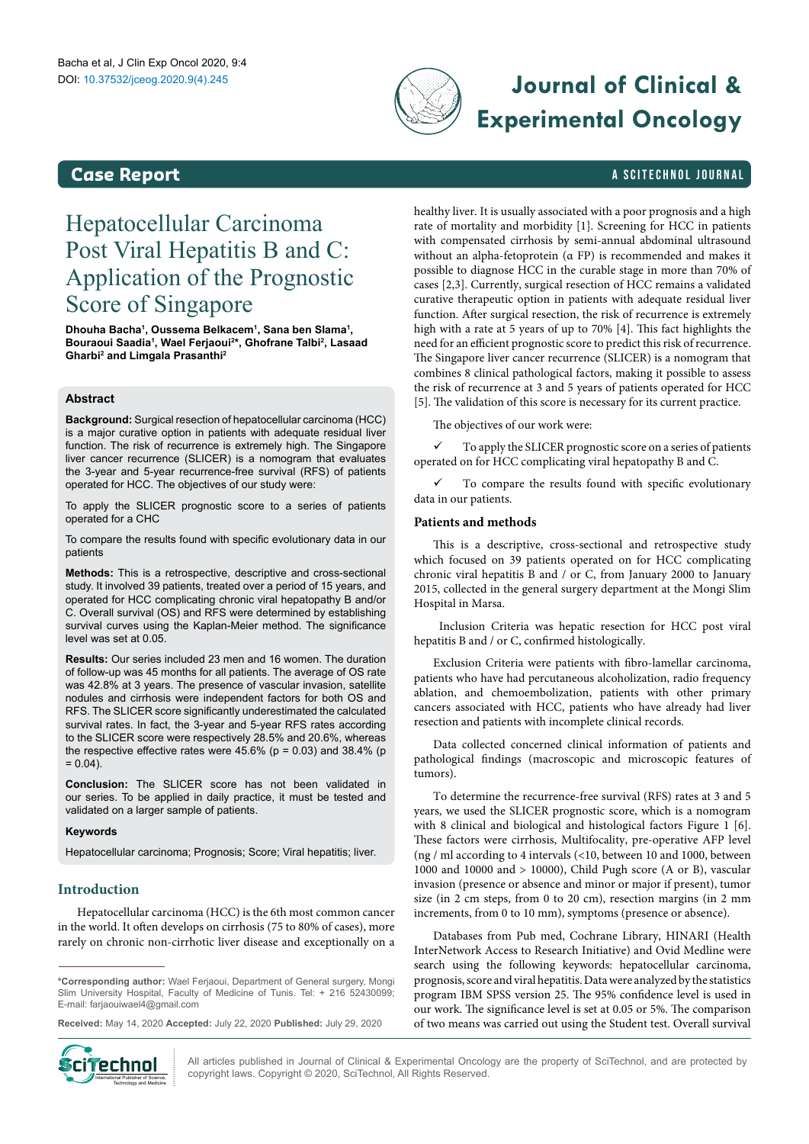

# DOI: 10.37532/jceog.2020.9(4).245 **Journal of Clinical & Experimental Oncology**

# **Case Report Case Report and** *a* **SCITECHNOL JOURNAL**

# Hepatocellular Carcinoma Post Viral Hepatitis B and C: Application of the Prognostic Score of Singapore

**Dhouha Bacha1 , Oussema Belkacem1 , Sana ben Slama1 , Bouraoui Saadia1 , Wael Ferjaoui2 \*, Ghofrane Talbi2 , Lasaad Gharbi2 and Limgala Prasanthi2**

#### **Abstract**

**Background:** Surgical resection of hepatocellular carcinoma (HCC) is a major curative option in patients with adequate residual liver function. The risk of recurrence is extremely high. The Singapore liver cancer recurrence (SLICER) is a nomogram that evaluates the 3-year and 5-year recurrence-free survival (RFS) of patients operated for HCC. The objectives of our study were:

To apply the SLICER prognostic score to a series of patients operated for a CHC

To compare the results found with specific evolutionary data in our patients

**Methods:** This is a retrospective, descriptive and cross-sectional study. It involved 39 patients, treated over a period of 15 years, and operated for HCC complicating chronic viral hepatopathy B and/or C. Overall survival (OS) and RFS were determined by establishing survival curves using the Kaplan-Meier method. The significance level was set at 0.05.

**Results:** Our series included 23 men and 16 women. The duration of follow-up was 45 months for all patients. The average of OS rate was 42.8% at 3 years. The presence of vascular invasion, satellite nodules and cirrhosis were independent factors for both OS and RFS. The SLICER score significantly underestimated the calculated survival rates. In fact, the 3-year and 5-year RFS rates according to the SLICER score were respectively 28.5% and 20.6%, whereas the respective effective rates were  $45.6\%$  (p = 0.03) and 38.4% (p  $= 0.04$ ).

**Conclusion:** The SLICER score has not been validated in our series. To be applied in daily practice, it must be tested and validated on a larger sample of patients.

#### **Keywords**

Hepatocellular carcinoma; Prognosis; Score; Viral hepatitis; liver.

### **Introduction**

Hepatocellular carcinoma (HCC) is the 6th most common cancer in the world. It often develops on cirrhosis (75 to 80% of cases), more rarely on chronic non-cirrhotic liver disease and exceptionally on a

**\*Corresponding author:** Wael Ferjaoui, Department of General surgery, Mongi Slim University Hospital, Faculty of Medicine of Tunis. Tel: + 216 52430099; E-mail: farjaouiwael4@gmail.com

**Received:** May 14, 2020 **Accepted:** July 22, 2020 **Published:** July 29, 2020



All articles published in Journal of Clinical & Experimental Oncology are the property of SciTechnol, and are protected by **Cinemational Publisher of Science, All** All articles published in Journal of Clinical & Experimental Oncolo (<br>International Publisher of Science, and a copyright laws. Copyright © 2020, SciTechnol, All Rights Reserved.

healthy liver. It is usually associated with a poor prognosis and a high rate of mortality and morbidity [1]. Screening for HCC in patients with compensated cirrhosis by semi-annual abdominal ultrasound without an alpha-fetoprotein (α FP) is recommended and makes it possible to diagnose HCC in the curable stage in more than 70% of cases [2,3]. Currently, surgical resection of HCC remains a validated curative therapeutic option in patients with adequate residual liver function. After surgical resection, the risk of recurrence is extremely high with a rate at 5 years of up to 70% [4]. This fact highlights the need for an efficient prognostic score to predict this risk of recurrence. The Singapore liver cancer recurrence (SLICER) is a nomogram that combines 8 clinical pathological factors, making it possible to assess the risk of recurrence at 3 and 5 years of patients operated for HCC [5]. The validation of this score is necessary for its current practice.

The objectives of our work were:

 $\checkmark$  To apply the SLICER prognostic score on a series of patients operated on for HCC complicating viral hepatopathy B and C.

 To compare the results found with specific evolutionary data in our patients.

#### **Patients and methods**

This is a descriptive, cross-sectional and retrospective study which focused on 39 patients operated on for HCC complicating chronic viral hepatitis B and / or C, from January 2000 to January 2015, collected in the general surgery department at the Mongi Slim Hospital in Marsa.

 Inclusion Criteria was hepatic resection for HCC post viral hepatitis B and / or C, confirmed histologically.

Exclusion Criteria were patients with fibro-lamellar carcinoma, patients who have had percutaneous alcoholization, radio frequency ablation, and chemoembolization, patients with other primary cancers associated with HCC, patients who have already had liver resection and patients with incomplete clinical records.

Data collected concerned clinical information of patients and pathological findings (macroscopic and microscopic features of tumors).

To determine the recurrence-free survival (RFS) rates at 3 and 5 years, we used the SLICER prognostic score, which is a nomogram with 8 clinical and biological and histological factors Figure 1 [6]. These factors were cirrhosis, Multifocality, pre-operative AFP level (ng / ml according to 4 intervals (<10, between 10 and 1000, between 1000 and 10000 and > 10000), Child Pugh score (A or B), vascular invasion (presence or absence and minor or major if present), tumor size (in 2 cm steps, from 0 to 20 cm), resection margins (in 2 mm increments, from 0 to 10 mm), symptoms (presence or absence).

Databases from Pub med, Cochrane Library, HINARI (Health InterNetwork Access to Research Initiative) and Ovid Medline were search using the following keywords: hepatocellular carcinoma, prognosis, score and viral hepatitis. Data were analyzed by the statistics program IBM SPSS version 25. The 95% confidence level is used in our work. The significance level is set at 0.05 or 5%. The comparison of two means was carried out using the Student test. Overall survival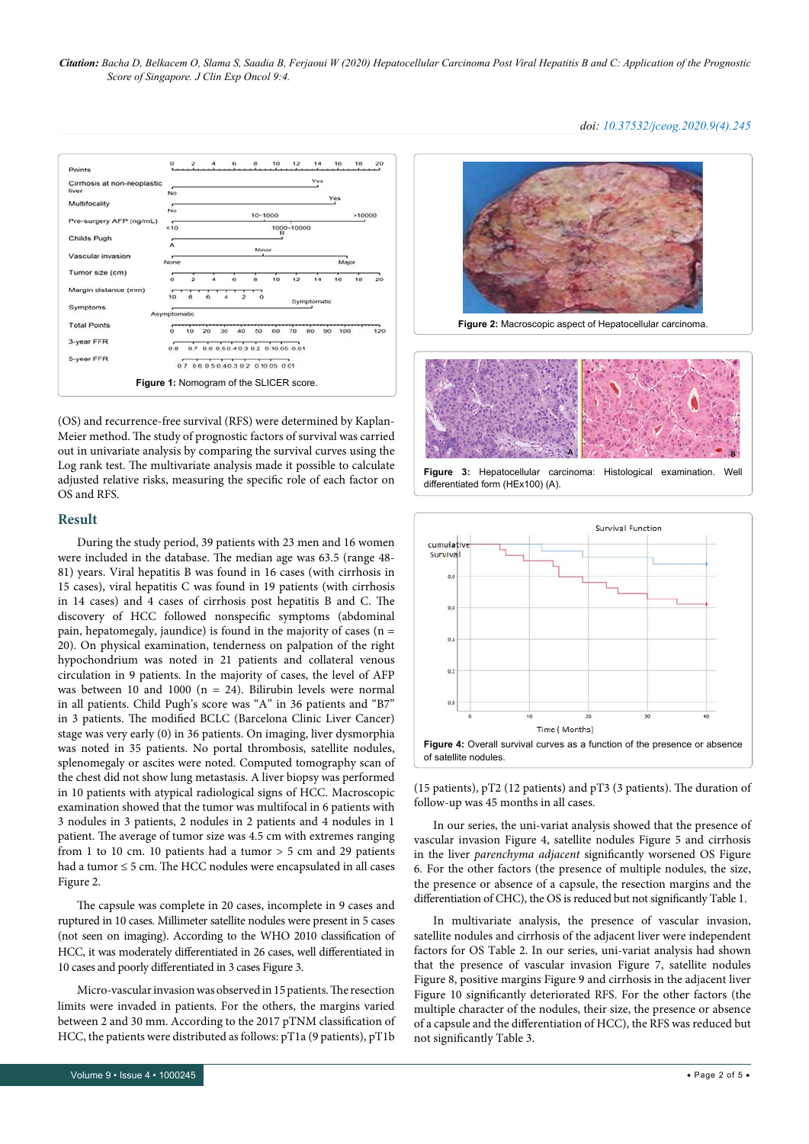*Citation: Bacha D, Belkacem O, Slama S, Saadia B, Ferjaoui W (2020) Hepatocellular Carcinoma Post Viral Hepatitis B and C: Application of the Prognostic Score of Singapore. J Clin Exp Oncol 9:4.*



(OS) and recurrence-free survival (RFS) were determined by Kaplan-Meier method. The study of prognostic factors of survival was carried out in univariate analysis by comparing the survival curves using the Log rank test. The multivariate analysis made it possible to calculate adjusted relative risks, measuring the specific role of each factor on OS and RFS.

#### **Result**

During the study period, 39 patients with 23 men and 16 women were included in the database. The median age was 63.5 (range 48- 81) years. Viral hepatitis B was found in 16 cases (with cirrhosis in 15 cases), viral hepatitis C was found in 19 patients (with cirrhosis in 14 cases) and 4 cases of cirrhosis post hepatitis B and C. The discovery of HCC followed nonspecific symptoms (abdominal pain, hepatomegaly, jaundice) is found in the majority of cases (n = 20). On physical examination, tenderness on palpation of the right hypochondrium was noted in 21 patients and collateral venous circulation in 9 patients. In the majority of cases, the level of AFP was between 10 and 1000 (n = 24). Bilirubin levels were normal in all patients. Child Pugh's score was "A" in 36 patients and "B7" in 3 patients. The modified BCLC (Barcelona Clinic Liver Cancer) stage was very early (0) in 36 patients. On imaging, liver dysmorphia was noted in 35 patients. No portal thrombosis, satellite nodules, splenomegaly or ascites were noted. Computed tomography scan of the chest did not show lung metastasis. A liver biopsy was performed in 10 patients with atypical radiological signs of HCC. Macroscopic examination showed that the tumor was multifocal in 6 patients with 3 nodules in 3 patients, 2 nodules in 2 patients and 4 nodules in 1 patient. The average of tumor size was 4.5 cm with extremes ranging from 1 to 10 cm. 10 patients had a tumor  $> 5$  cm and 29 patients had a tumor ≤ 5 cm. The HCC nodules were encapsulated in all cases Figure 2.

The capsule was complete in 20 cases, incomplete in 9 cases and ruptured in 10 cases. Millimeter satellite nodules were present in 5 cases (not seen on imaging). According to the WHO 2010 classification of HCC, it was moderately differentiated in 26 cases, well differentiated in 10 cases and poorly differentiated in 3 cases Figure 3.

Micro-vascular invasion was observed in 15 patients. The resection limits were invaded in patients. For the others, the margins varied between 2 and 30 mm. According to the 2017 pTNM classification of HCC, the patients were distributed as follows: pT1a (9 patients), pT1b







**Figure 3:** Hepatocellular carcinoma: Histological examination. Well differentiated form (HEx100) (A).



(15 patients), pT2 (12 patients) and pT3 (3 patients). The duration of follow-up was 45 months in all cases.

In our series, the uni-variat analysis showed that the presence of vascular invasion Figure 4, satellite nodules Figure 5 and cirrhosis in the liver *parenchyma adjacent* significantly worsened OS Figure 6. For the other factors (the presence of multiple nodules, the size, the presence or absence of a capsule, the resection margins and the differentiation of CHC), the OS is reduced but not significantly Table 1.

In multivariate analysis, the presence of vascular invasion, satellite nodules and cirrhosis of the adjacent liver were independent factors for OS Table 2. In our series, uni-variat analysis had shown that the presence of vascular invasion Figure 7, satellite nodules Figure 8, positive margins Figure 9 and cirrhosis in the adjacent liver Figure 10 significantly deteriorated RFS. For the other factors (the multiple character of the nodules, their size, the presence or absence of a capsule and the differentiation of HCC), the RFS was reduced but not significantly Table 3.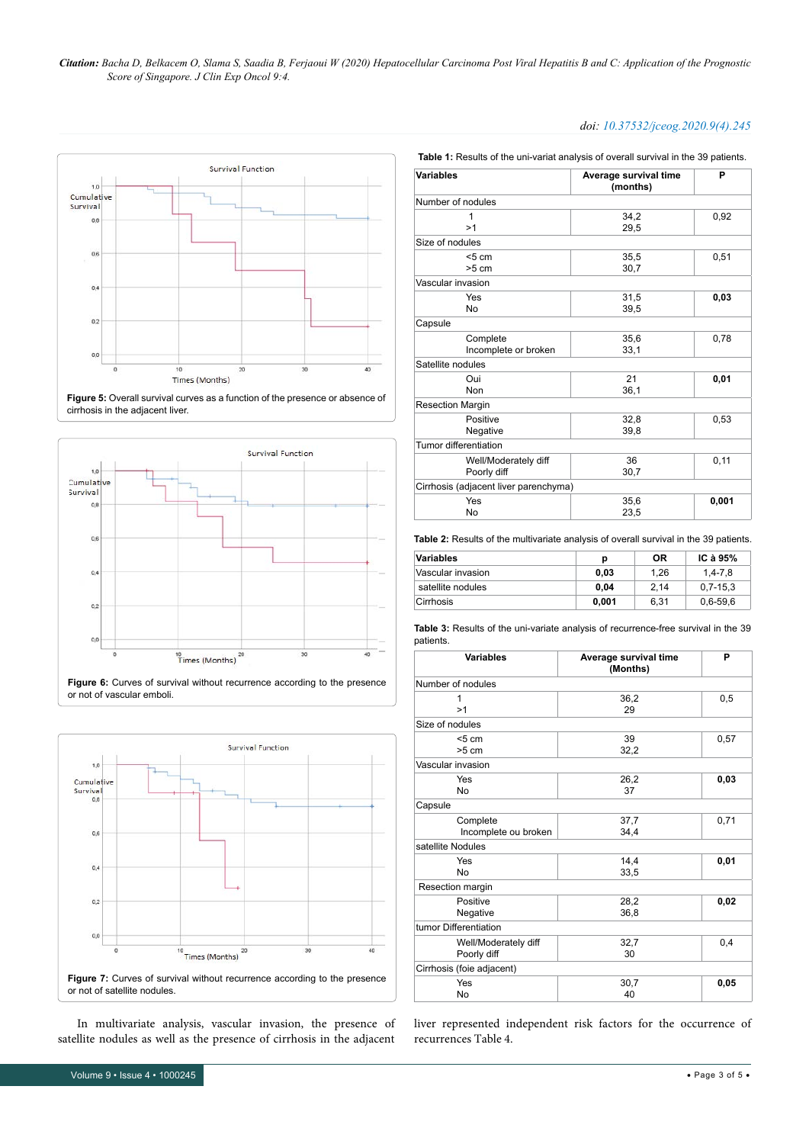*Citation: Bacha D, Belkacem O, Slama S, Saadia B, Ferjaoui W (2020) Hepatocellular Carcinoma Post Viral Hepatitis B and C: Application of the Prognostic Score of Singapore. J Clin Exp Oncol 9:4.*











In multivariate analysis, vascular invasion, the presence of satellite nodules as well as the presence of cirrhosis in the adjacent

## *doi: 10.37532/jceog.2020.9(4).245*

**Table 1:** Results of the uni-variat analysis of overall survival in the 39 patients.

| <b>Variables</b>                      | Average survival time<br>(months) | P     |
|---------------------------------------|-----------------------------------|-------|
| Number of nodules                     |                                   |       |
| 1                                     | 34,2                              | 0,92  |
| >1                                    | 29,5                              |       |
| Size of nodules                       |                                   |       |
| < 5 cm                                | 35,5                              | 0,51  |
| $>5$ cm                               | 30,7                              |       |
| Vascular invasion                     |                                   |       |
| Yes                                   | 31,5                              | 0,03  |
| No                                    | 39,5                              |       |
| Capsule                               |                                   |       |
| Complete                              | 35.6                              | 0,78  |
| Incomplete or broken                  | 33,1                              |       |
| Satellite nodules                     |                                   |       |
| Oui                                   | 21                                | 0,01  |
| Non                                   | 36,1                              |       |
| <b>Resection Margin</b>               |                                   |       |
| Positive                              | 32,8                              | 0,53  |
| Negative                              | 39,8                              |       |
| Tumor differentiation                 |                                   |       |
| Well/Moderately diff                  | 36                                | 0,11  |
| Poorly diff                           | 30,7                              |       |
| Cirrhosis (adjacent liver parenchyma) |                                   |       |
| Yes                                   | 35,6                              | 0,001 |
| No                                    | 23,5                              |       |

**Table 2:** Results of the multivariate analysis of overall survival in the 39 patients.

| Variables         | р     | 0R   | IC à $95\%$  |
|-------------------|-------|------|--------------|
| Vascular invasion | 0.03  | 1.26 | $1.4 - 7.8$  |
| satellite nodules | 0.04  | 2.14 | $0.7 - 15.3$ |
| Cirrhosis         | 0.001 | 6.31 | $0,6 - 59,6$ |

**Table 3:** Results of the uni-variate analysis of recurrence-free survival in the 39 patients.

| <b>Variables</b>                    | Average survival time<br>(Months) | P    |
|-------------------------------------|-----------------------------------|------|
| Number of nodules                   |                                   |      |
| 1<br>>1                             | 36,2<br>29                        | 0,5  |
| Size of nodules                     |                                   |      |
| < 5 cm<br>$>5$ cm                   | 39<br>32,2                        | 0,57 |
| Vascular invasion                   |                                   |      |
| Yes<br>No                           | 26,2<br>37                        | 0,03 |
| Capsule                             |                                   |      |
| Complete<br>Incomplete ou broken    | 37,7<br>34,4                      | 0,71 |
| satellite Nodules                   |                                   |      |
| Yes<br>No                           | 14,4<br>33,5                      | 0,01 |
| Resection margin                    |                                   |      |
| Positive<br>Negative                | 28,2<br>36,8                      | 0,02 |
| tumor Differentiation               |                                   |      |
| Well/Moderately diff<br>Poorly diff | 32,7<br>30                        | 0,4  |
| Cirrhosis (foie adjacent)           |                                   |      |
| Yes<br>No                           | 30,7<br>40                        | 0,05 |

liver represented independent risk factors for the occurrence of recurrences Table 4.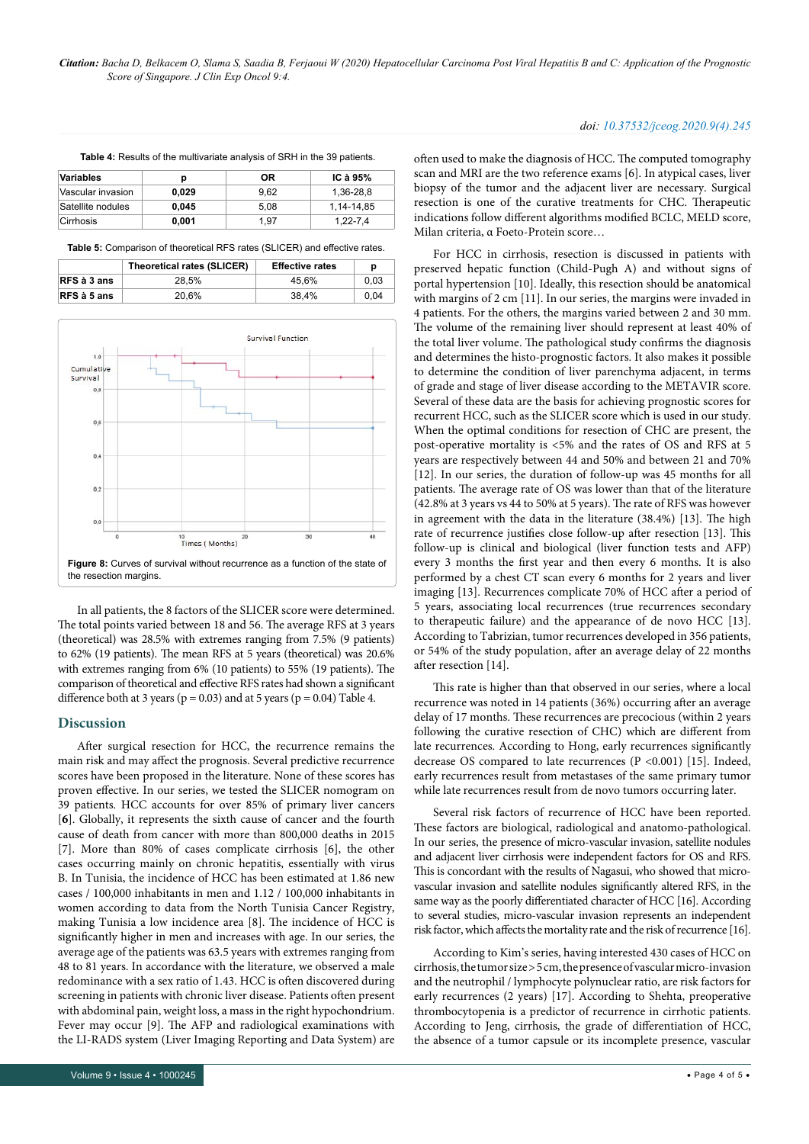| Variables         | D     | ΟR   | IC à $95%$   |
|-------------------|-------|------|--------------|
| Vascular invasion | 0.029 | 9.62 | 1.36-28.8    |
| Satellite nodules | 0.045 | 5.08 | 1.14-14.85   |
| Cirrhosis         | 0.001 | 1.97 | $1.22 - 7.4$ |

**Table 4:** Results of the multivariate analysis of SRH in the 39 patients.

**Table 5:** Comparison of theoretical RFS rates (SLICER) and effective rates.

|             | Theoretical rates (SLICER) | <b>Effective rates</b> | D    |
|-------------|----------------------------|------------------------|------|
| RFS à 3 ans | 28.5%                      | 45.6%                  | 0.03 |
| RFS à 5 ans | 20.6%                      | 38.4%                  | 0.04 |



In all patients, the 8 factors of the SLICER score were determined. The total points varied between 18 and 56. The average RFS at 3 years (theoretical) was 28.5% with extremes ranging from 7.5% (9 patients) to 62% (19 patients). The mean RFS at 5 years (theoretical) was 20.6% with extremes ranging from 6% (10 patients) to 55% (19 patients). The comparison of theoretical and effective RFS rates had shown a significant difference both at 3 years ( $p = 0.03$ ) and at 5 years ( $p = 0.04$ ) Table 4.

#### **Discussion**

After surgical resection for HCC, the recurrence remains the main risk and may affect the prognosis. Several predictive recurrence scores have been proposed in the literature. None of these scores has proven effective. In our series, we tested the SLICER nomogram on 39 patients. HCC accounts for over 85% of primary liver cancers [**6**]. Globally, it represents the sixth cause of cancer and the fourth cause of death from cancer with more than 800,000 deaths in 2015 [7]. More than 80% of cases complicate cirrhosis [6], the other cases occurring mainly on chronic hepatitis, essentially with virus B. In Tunisia, the incidence of HCC has been estimated at 1.86 new cases / 100,000 inhabitants in men and 1.12 / 100,000 inhabitants in women according to data from the North Tunisia Cancer Registry, making Tunisia a low incidence area [8]. The incidence of HCC is significantly higher in men and increases with age. In our series, the average age of the patients was 63.5 years with extremes ranging from 48 to 81 years. In accordance with the literature, we observed a male redominance with a sex ratio of 1.43. HCC is often discovered during screening in patients with chronic liver disease. Patients often present with abdominal pain, weight loss, a mass in the right hypochondrium. Fever may occur [9]. The AFP and radiological examinations with the LI-RADS system (Liver Imaging Reporting and Data System) are

#### *doi: 10.37532/jceog.2020.9(4).245*

often used to make the diagnosis of HCC. The computed tomography scan and MRI are the two reference exams [6]. In atypical cases, liver biopsy of the tumor and the adjacent liver are necessary. Surgical resection is one of the curative treatments for CHC. Therapeutic indications follow different algorithms modified BCLC, MELD score, Milan criteria, α Foeto-Protein score…

For HCC in cirrhosis, resection is discussed in patients with preserved hepatic function (Child-Pugh A) and without signs of portal hypertension [10]. Ideally, this resection should be anatomical with margins of 2 cm [11]. In our series, the margins were invaded in 4 patients. For the others, the margins varied between 2 and 30 mm. The volume of the remaining liver should represent at least 40% of the total liver volume. The pathological study confirms the diagnosis and determines the histo-prognostic factors. It also makes it possible to determine the condition of liver parenchyma adjacent, in terms of grade and stage of liver disease according to the METAVIR score. Several of these data are the basis for achieving prognostic scores for recurrent HCC, such as the SLICER score which is used in our study. When the optimal conditions for resection of CHC are present, the post-operative mortality is <5% and the rates of OS and RFS at 5 years are respectively between 44 and 50% and between 21 and 70% [12]. In our series, the duration of follow-up was 45 months for all patients. The average rate of OS was lower than that of the literature (42.8% at 3 years vs 44 to 50% at 5 years). The rate of RFS was however in agreement with the data in the literature (38.4%) [13]. The high rate of recurrence justifies close follow-up after resection [13]. This follow-up is clinical and biological (liver function tests and AFP) every 3 months the first year and then every 6 months. It is also performed by a chest CT scan every 6 months for 2 years and liver imaging [13]. Recurrences complicate 70% of HCC after a period of 5 years, associating local recurrences (true recurrences secondary to therapeutic failure) and the appearance of de novo HCC [13]. According to Tabrizian, tumor recurrences developed in 356 patients, or 54% of the study population, after an average delay of 22 months after resection [14].

This rate is higher than that observed in our series, where a local recurrence was noted in 14 patients (36%) occurring after an average delay of 17 months. These recurrences are precocious (within 2 years following the curative resection of CHC) which are different from late recurrences. According to Hong, early recurrences significantly decrease OS compared to late recurrences (P <0.001) [15]. Indeed, early recurrences result from metastases of the same primary tumor while late recurrences result from de novo tumors occurring later.

Several risk factors of recurrence of HCC have been reported. These factors are biological, radiological and anatomo-pathological. In our series, the presence of micro-vascular invasion, satellite nodules and adjacent liver cirrhosis were independent factors for OS and RFS. This is concordant with the results of Nagasui, who showed that microvascular invasion and satellite nodules significantly altered RFS, in the same way as the poorly differentiated character of HCC [16]. According to several studies, micro-vascular invasion represents an independent risk factor, which affects the mortality rate and the risk of recurrence [16].

According to Kim's series, having interested 430 cases of HCC on cirrhosis, the tumor size > 5 cm, the presence of vascular micro-invasion and the neutrophil / lymphocyte polynuclear ratio, are risk factors for early recurrences (2 years) [17]. According to Shehta, preoperative thrombocytopenia is a predictor of recurrence in cirrhotic patients. According to Jeng, cirrhosis, the grade of differentiation of HCC, the absence of a tumor capsule or its incomplete presence, vascular